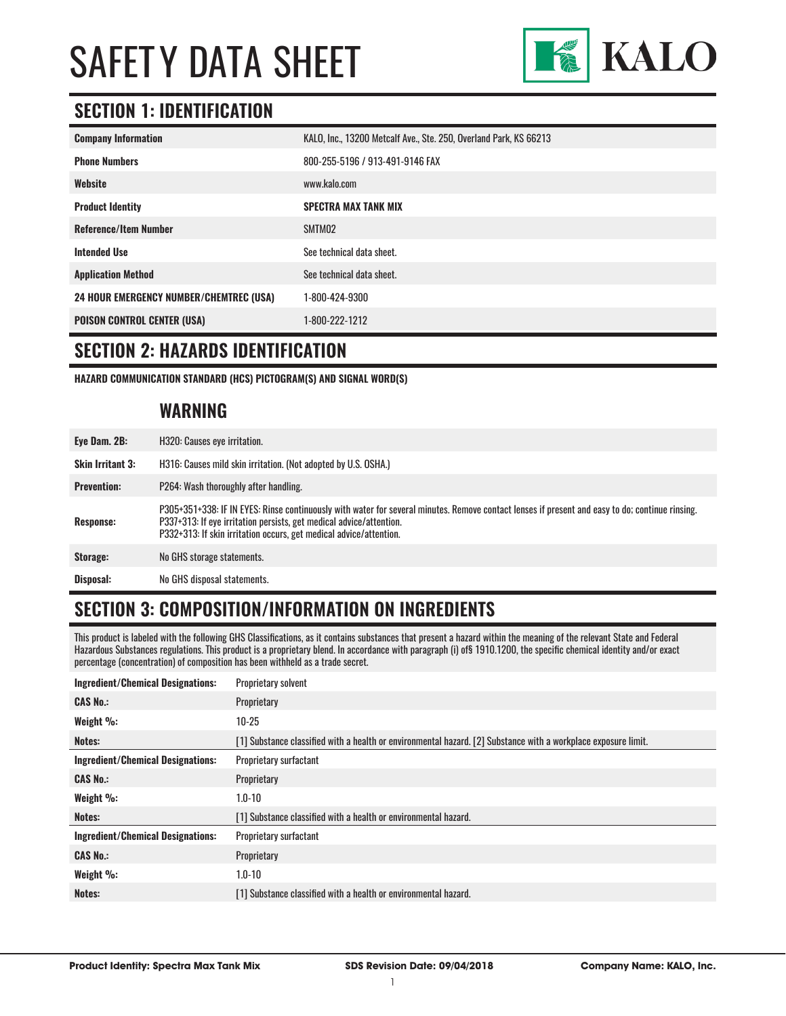

# **SECTION 1: IDENTIFICATION**

| <b>Company Information</b>                     | KALO, Inc., 13200 Metcalf Ave., Ste. 250, Overland Park, KS 66213 |
|------------------------------------------------|-------------------------------------------------------------------|
| <b>Phone Numbers</b>                           | 800-255-5196 / 913-491-9146 FAX                                   |
| Website                                        | www.kalo.com                                                      |
| <b>Product Identity</b>                        | <b>SPECTRA MAX TANK MIX</b>                                       |
| <b>Reference/Item Number</b>                   | SMTM02                                                            |
| <b>Intended Use</b>                            | See technical data sheet.                                         |
| <b>Application Method</b>                      | See technical data sheet.                                         |
| <b>24 HOUR EMERGENCY NUMBER/CHEMTREC (USA)</b> | 1-800-424-9300                                                    |
| <b>POISON CONTROL CENTER (USA)</b>             | 1-800-222-1212                                                    |

#### **SECTION 2: HAZARDS IDENTIFICATION**

**HAZARD COMMUNICATION STANDARD (HCS) PICTOGRAM(S) AND SIGNAL WORD(S)**

#### **WARNING**

| Eye Dam. 2B:            | H320: Causes eye irritation.                                                                                                                                                                                                                                                                 |
|-------------------------|----------------------------------------------------------------------------------------------------------------------------------------------------------------------------------------------------------------------------------------------------------------------------------------------|
| <b>Skin Irritant 3:</b> | H316: Causes mild skin irritation. (Not adopted by U.S. OSHA.)                                                                                                                                                                                                                               |
| <b>Prevention:</b>      | P264: Wash thoroughly after handling.                                                                                                                                                                                                                                                        |
| <b>Response:</b>        | P305+351+338: IF IN EYES: Rinse continuously with water for several minutes. Remove contact lenses if present and easy to do; continue rinsing.<br>P337+313: If eye irritation persists, get medical advice/attention.<br>P332+313: If skin irritation occurs, get medical advice/attention. |
| Storage:                | No GHS storage statements.                                                                                                                                                                                                                                                                   |
| Disposal:               | No GHS disposal statements.                                                                                                                                                                                                                                                                  |

# **SECTION 3: COMPOSITION/INFORMATION ON INGREDIENTS**

This product is labeled with the following GHS Classifications, as it contains substances that present a hazard within the meaning of the relevant State and Federal Hazardous Substances regulations. This product is a proprietary blend. In accordance with paragraph (i) of§ 1910.1200, the specific chemical identity and/or exact percentage (concentration) of composition has been withheld as a trade secret.

| <b>Ingredient/Chemical Designations:</b> | Proprietary solvent                                                                                            |
|------------------------------------------|----------------------------------------------------------------------------------------------------------------|
| <b>CAS No.:</b>                          | Proprietary                                                                                                    |
| Weight $\%$ :                            | $10-25$                                                                                                        |
| Notes:                                   | [1] Substance classified with a health or environmental hazard. [2] Substance with a workplace exposure limit. |
| <b>Ingredient/Chemical Designations:</b> | Proprietary surfactant                                                                                         |
| <b>CAS No.:</b>                          | Proprietary                                                                                                    |
| Weight %:                                | $1.0 - 10$                                                                                                     |
| Notes:                                   | [1] Substance classified with a health or environmental hazard.                                                |
| <b>Ingredient/Chemical Designations:</b> | Proprietary surfactant                                                                                         |
| <b>CAS No.:</b>                          | Proprietary                                                                                                    |
| Weight %:                                | $1.0 - 10$                                                                                                     |
| Notes:                                   | [1] Substance classified with a health or environmental hazard.                                                |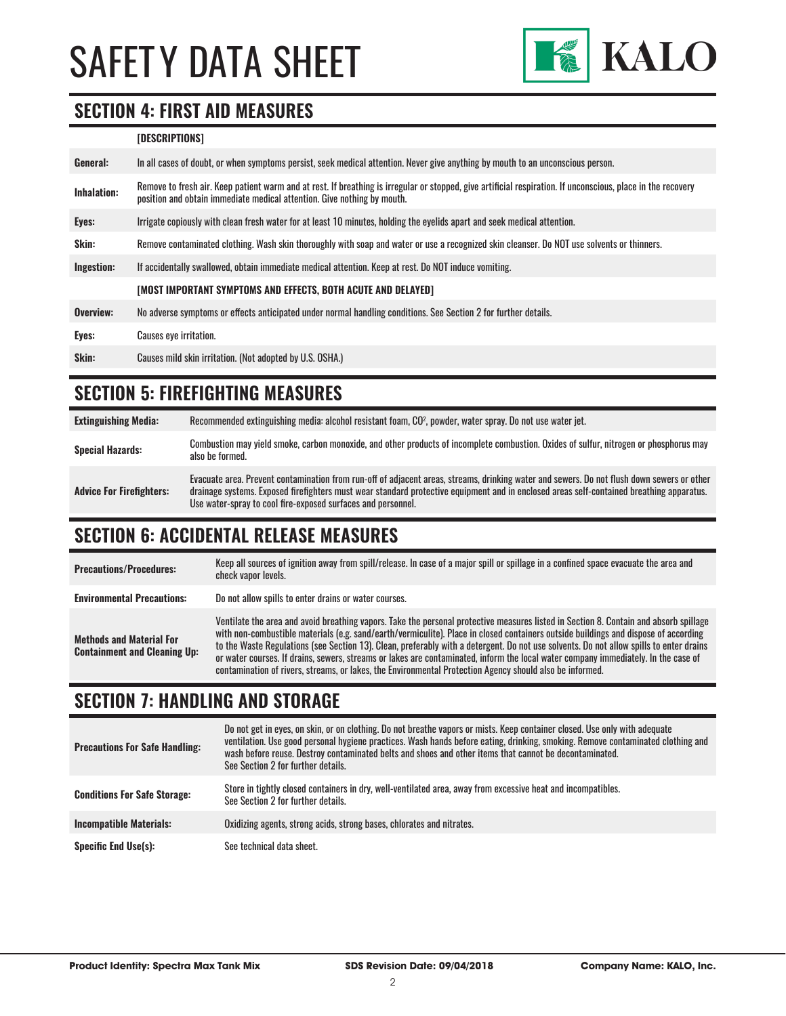

#### **SECTION 4: FIRST AID MEASURES**

#### **[DESCRIPTIONS]**

| General:           | In all cases of doubt, or when symptoms persist, seek medical attention. Never give anything by mouth to an unconscious person.                                                                                                         |
|--------------------|-----------------------------------------------------------------------------------------------------------------------------------------------------------------------------------------------------------------------------------------|
| <b>Inhalation:</b> | Remove to fresh air. Keep patient warm and at rest. If breathing is irregular or stopped, give artificial respiration. If unconscious, place in the recovery<br>position and obtain immediate medical attention. Give nothing by mouth. |
| Eyes:              | Irrigate copiously with clean fresh water for at least 10 minutes, holding the eyelids apart and seek medical attention.                                                                                                                |
| <b>Skin:</b>       | Remove contaminated clothing. Wash skin thoroughly with soap and water or use a recognized skin cleanser. Do NOT use solvents or thinners.                                                                                              |
| Ingestion:         | If accidentally swallowed, obtain immediate medical attention. Keep at rest. Do NOT induce vomiting.                                                                                                                                    |
|                    | [MOST IMPORTANT SYMPTOMS AND EFFECTS, BOTH ACUTE AND DELAYED]                                                                                                                                                                           |
| Overview:          | No adverse symptoms or effects anticipated under normal handling conditions. See Section 2 for further details.                                                                                                                         |
| Eyes:              | <b>Causes eye irritation.</b>                                                                                                                                                                                                           |
| Skin:              | Causes mild skin irritation. (Not adopted by U.S. OSHA.)                                                                                                                                                                                |

### **SECTION 5: FIREFIGHTING MEASURES**

| <b>Extinguishing Media:</b>     | Recommended extinguishing media: alcohol resistant foam, CO <sup>2</sup> , powder, water spray. Do not use water jet.                                                                                                                                                                                                                                  |
|---------------------------------|--------------------------------------------------------------------------------------------------------------------------------------------------------------------------------------------------------------------------------------------------------------------------------------------------------------------------------------------------------|
| <b>Special Hazards:</b>         | Combustion may yield smoke, carbon monoxide, and other products of incomplete combustion. Oxides of sulfur, nitrogen or phosphorus may<br>also be formed.                                                                                                                                                                                              |
| <b>Advice For Firefighters:</b> | Evacuate area. Prevent contamination from run-off of adjacent areas, streams, drinking water and sewers. Do not flush down sewers or other<br>drainage systems. Exposed firefighters must wear standard protective equipment and in enclosed areas self-contained breathing apparatus.<br>Use water-spray to cool fire-exposed surfaces and personnel. |

#### **SECTION 6: ACCIDENTAL RELEASE MEASURES**

| <b>Precautions/Procedures:</b>                                         | Keep all sources of ignition away from spill/release. In case of a major spill or spillage in a confined space evacuate the area and<br>check vapor levels.                                                                                                                                                                                                                                                                                                                                                                                                                                                                                                               |
|------------------------------------------------------------------------|---------------------------------------------------------------------------------------------------------------------------------------------------------------------------------------------------------------------------------------------------------------------------------------------------------------------------------------------------------------------------------------------------------------------------------------------------------------------------------------------------------------------------------------------------------------------------------------------------------------------------------------------------------------------------|
| <b>Environmental Precautions:</b>                                      | Do not allow spills to enter drains or water courses.                                                                                                                                                                                                                                                                                                                                                                                                                                                                                                                                                                                                                     |
| <b>Methods and Material For</b><br><b>Containment and Cleaning Up:</b> | Ventilate the area and avoid breathing vapors. Take the personal protective measures listed in Section 8. Contain and absorb spillage<br>with non-combustible materials (e.g. sand/earth/vermiculite). Place in closed containers outside buildings and dispose of according<br>to the Waste Regulations (see Section 13). Clean, preferably with a detergent. Do not use solvents. Do not allow spills to enter drains<br>or water courses. If drains, sewers, streams or lakes are contaminated, inform the local water company immediately. In the case of<br>contamination of rivers, streams, or lakes, the Environmental Protection Agency should also be informed. |

### **SECTION 7: HANDLING AND STORAGE**

| <b>Precautions For Safe Handling:</b> | Do not get in eyes, on skin, or on clothing. Do not breathe vapors or mists. Keep container closed. Use only with adequate<br>ventilation. Use good personal hygiene practices. Wash hands before eating, drinking, smoking. Remove contaminated clothing and<br>wash before reuse. Destroy contaminated belts and shoes and other items that cannot be decontaminated.<br>See Section 2 for further details. |
|---------------------------------------|---------------------------------------------------------------------------------------------------------------------------------------------------------------------------------------------------------------------------------------------------------------------------------------------------------------------------------------------------------------------------------------------------------------|
| <b>Conditions For Safe Storage:</b>   | Store in tightly closed containers in dry, well-ventilated area, away from excessive heat and incompatibles.<br>See Section 2 for further details.                                                                                                                                                                                                                                                            |
| <b>Incompatible Materials:</b>        | Oxidizing agents, strong acids, strong bases, chlorates and nitrates.                                                                                                                                                                                                                                                                                                                                         |
| <b>Specific End Use(s):</b>           | See technical data sheet.                                                                                                                                                                                                                                                                                                                                                                                     |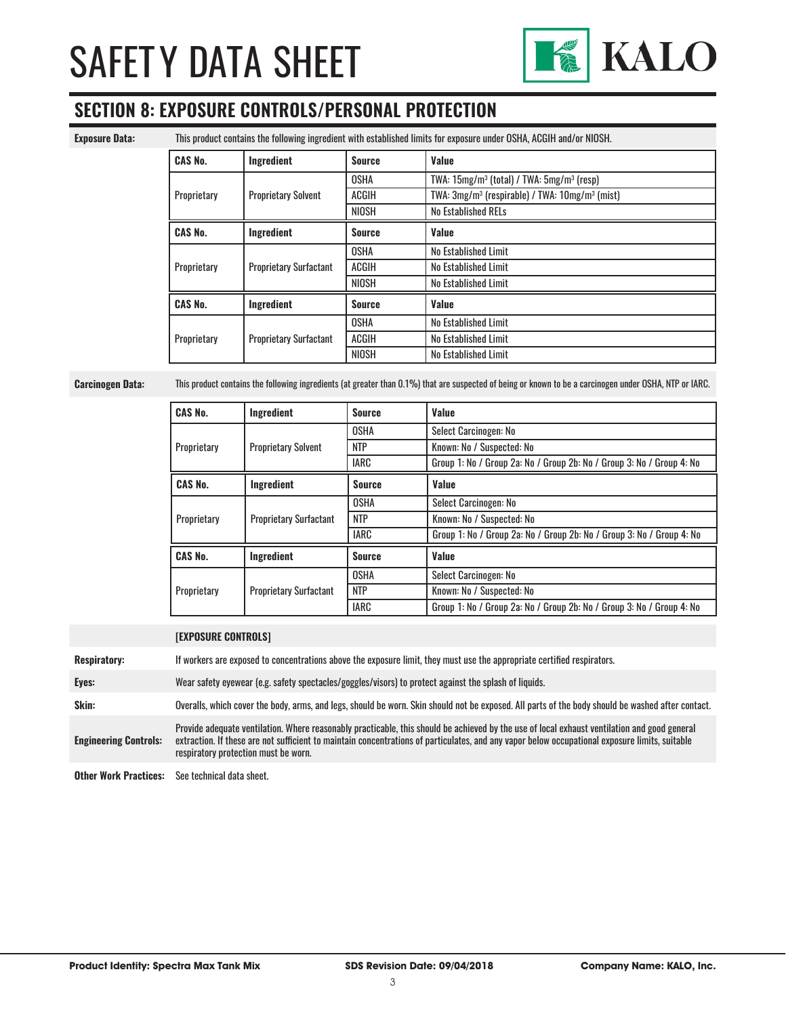

# **SECTION 8: EXPOSURE CONTROLS/PERSONAL PROTECTION**

**Exposure Data:** This product contains the following ingredient with established limits for exposure under OSHA, ACGIH and/or NIOSH.

| <b>CAS No.</b> | Ingredient                    | <b>Source</b> | Value                                                                  |
|----------------|-------------------------------|---------------|------------------------------------------------------------------------|
|                |                               | <b>OSHA</b>   | TWA: $15mg/m^3$ (total) / TWA: $5mg/m^3$ (resp)                        |
| Proprietary    | <b>Proprietary Solvent</b>    | <b>ACGIH</b>  | TWA: 3mg/m <sup>3</sup> (respirable) / TWA: 10mg/m <sup>3</sup> (mist) |
|                |                               | NIOSH         | No Established RELs                                                    |
| <b>CAS No.</b> | Ingredient                    | <b>Source</b> | Value                                                                  |
| Proprietary    |                               | <b>OSHA</b>   | No Established Limit                                                   |
|                | <b>Proprietary Surfactant</b> | <b>ACGIH</b>  | No Established Limit                                                   |
|                |                               | NIOSH         | No Established Limit                                                   |
| <b>CAS No.</b> | Ingredient                    | <b>Source</b> | Value                                                                  |
| Proprietary    |                               | <b>OSHA</b>   | No Established Limit                                                   |
|                | <b>Proprietary Surfactant</b> | <b>ACGIH</b>  | No Established Limit                                                   |
|                |                               | NIOSH         | No Established Limit                                                   |

**Carcinogen Data:** This product contains the following ingredients (at greater than 0.1%) that are suspected of being or known to be a carcinogen under OSHA, NTP or IARC.

| <b>CAS No.</b> | Ingredient                    | <b>Source</b> | Value                                                                 |
|----------------|-------------------------------|---------------|-----------------------------------------------------------------------|
| Proprietary    |                               | <b>OSHA</b>   | Select Carcinogen: No                                                 |
|                | <b>Proprietary Solvent</b>    | <b>NTP</b>    | Known: No / Suspected: No                                             |
|                |                               | IARC          | Group 1: No / Group 2a: No / Group 2b: No / Group 3: No / Group 4: No |
| <b>CAS No.</b> | Ingredient                    | <b>Source</b> | Value                                                                 |
| Proprietary    |                               | <b>OSHA</b>   | Select Carcinogen: No                                                 |
|                | <b>Proprietary Surfactant</b> | <b>NTP</b>    | Known: No / Suspected: No                                             |
|                |                               | <b>IARC</b>   | Group 1: No / Group 2a: No / Group 2b: No / Group 3: No / Group 4: No |
| <b>CAS No.</b> | <b>Ingredient</b>             | <b>Source</b> | Value                                                                 |
| Proprietary    |                               | <b>OSHA</b>   | Select Carcinogen: No                                                 |
|                | <b>Proprietary Surfactant</b> | <b>NTP</b>    | Known: No / Suspected: No                                             |
|                |                               | <b>IARC</b>   | Group 1: No / Group 2a: No / Group 2b: No / Group 3: No / Group 4: No |

|                              | <b>[Exposure controls]</b>                                                                                                                                                                                                                                                                                                             |
|------------------------------|----------------------------------------------------------------------------------------------------------------------------------------------------------------------------------------------------------------------------------------------------------------------------------------------------------------------------------------|
| <b>Respiratory:</b>          | If workers are exposed to concentrations above the exposure limit, they must use the appropriate certified respirators.                                                                                                                                                                                                                |
| Eyes:                        | Wear safety eyewear (e.g. safety spectacles/goggles/visors) to protect against the splash of liquids.                                                                                                                                                                                                                                  |
| Skin:                        | Overalls, which cover the body, arms, and legs, should be worn. Skin should not be exposed. All parts of the body should be washed after contact.                                                                                                                                                                                      |
| <b>Engineering Controls:</b> | Provide adequate ventilation. Where reasonably practicable, this should be achieved by the use of local exhaust ventilation and good general<br>extraction. If these are not sufficient to maintain concentrations of particulates, and any vapor below occupational exposure limits, suitable<br>respiratory protection must be worn. |
| <b>Other Work Practices:</b> | See technical data sheet.                                                                                                                                                                                                                                                                                                              |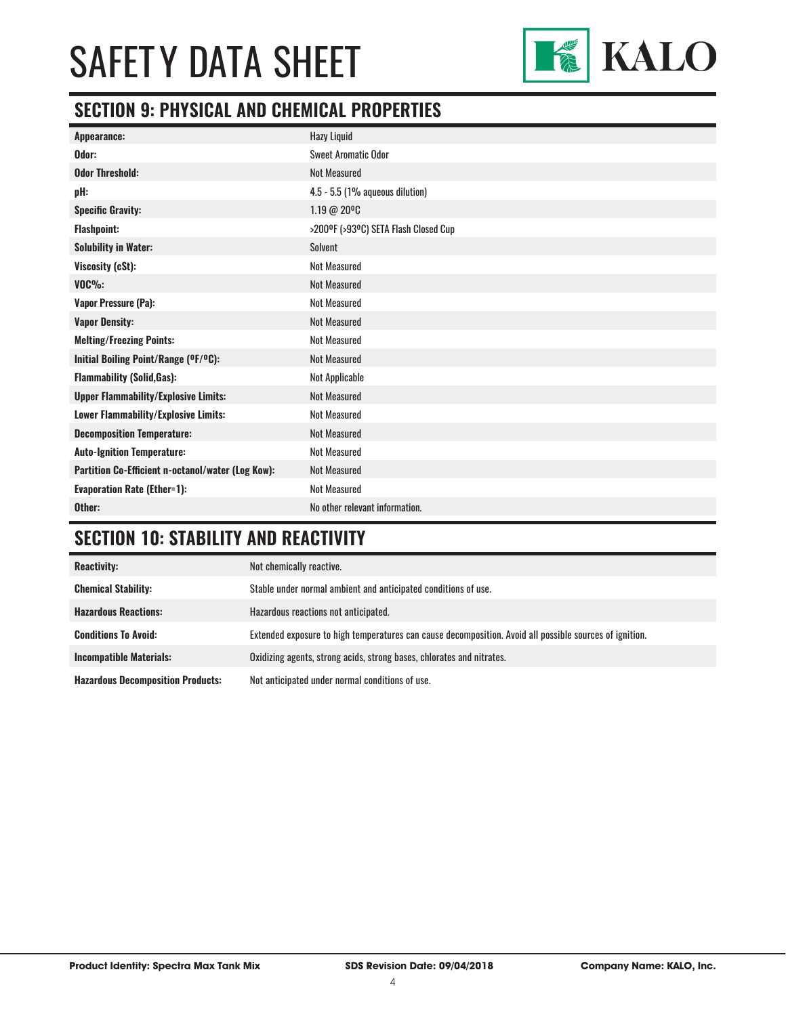

# **SECTION 9: PHYSICAL AND CHEMICAL PROPERTIES**

| Appearance:                                       | <b>Hazy Liquid</b>                   |
|---------------------------------------------------|--------------------------------------|
| Odor:                                             | <b>Sweet Aromatic Odor</b>           |
| <b>Odor Threshold:</b>                            | <b>Not Measured</b>                  |
| pH:                                               | 4.5 - 5.5 (1% aqueous dilution)      |
| <b>Specific Gravity:</b>                          | 1.19 @ 20°C                          |
| <b>Flashpoint:</b>                                | >200°F (>93°C) SETA Flash Closed Cup |
| <b>Solubility in Water:</b>                       | <b>Solvent</b>                       |
| Viscosity (cSt):                                  | <b>Not Measured</b>                  |
| $VOC\%$ :                                         | <b>Not Measured</b>                  |
| Vapor Pressure (Pa):                              | <b>Not Measured</b>                  |
| <b>Vapor Density:</b>                             | <b>Not Measured</b>                  |
| <b>Melting/Freezing Points:</b>                   | <b>Not Measured</b>                  |
| Initial Boiling Point/Range (°F/°C):              | <b>Not Measured</b>                  |
| <b>Flammability (Solid, Gas):</b>                 | Not Applicable                       |
| <b>Upper Flammability/Explosive Limits:</b>       | <b>Not Measured</b>                  |
| Lower Flammability/Explosive Limits:              | <b>Not Measured</b>                  |
| <b>Decomposition Temperature:</b>                 | <b>Not Measured</b>                  |
| <b>Auto-Ignition Temperature:</b>                 | <b>Not Measured</b>                  |
| Partition Co-Efficient n-octanol/water (Log Kow): | Not Measured                         |
| <b>Evaporation Rate (Ether=1):</b>                | <b>Not Measured</b>                  |
| Other:                                            | No other relevant information.       |

# **SECTION 10: STABILITY AND REACTIVITY**

| <b>Reactivity:</b>                       | Not chemically reactive.                                                                                |
|------------------------------------------|---------------------------------------------------------------------------------------------------------|
| <b>Chemical Stability:</b>               | Stable under normal ambient and anticipated conditions of use.                                          |
| <b>Hazardous Reactions:</b>              | Hazardous reactions not anticipated.                                                                    |
| <b>Conditions To Avoid:</b>              | Extended exposure to high temperatures can cause decomposition. Avoid all possible sources of ignition. |
| <b>Incompatible Materials:</b>           | Oxidizing agents, strong acids, strong bases, chlorates and nitrates.                                   |
| <b>Hazardous Decomposition Products:</b> | Not anticipated under normal conditions of use.                                                         |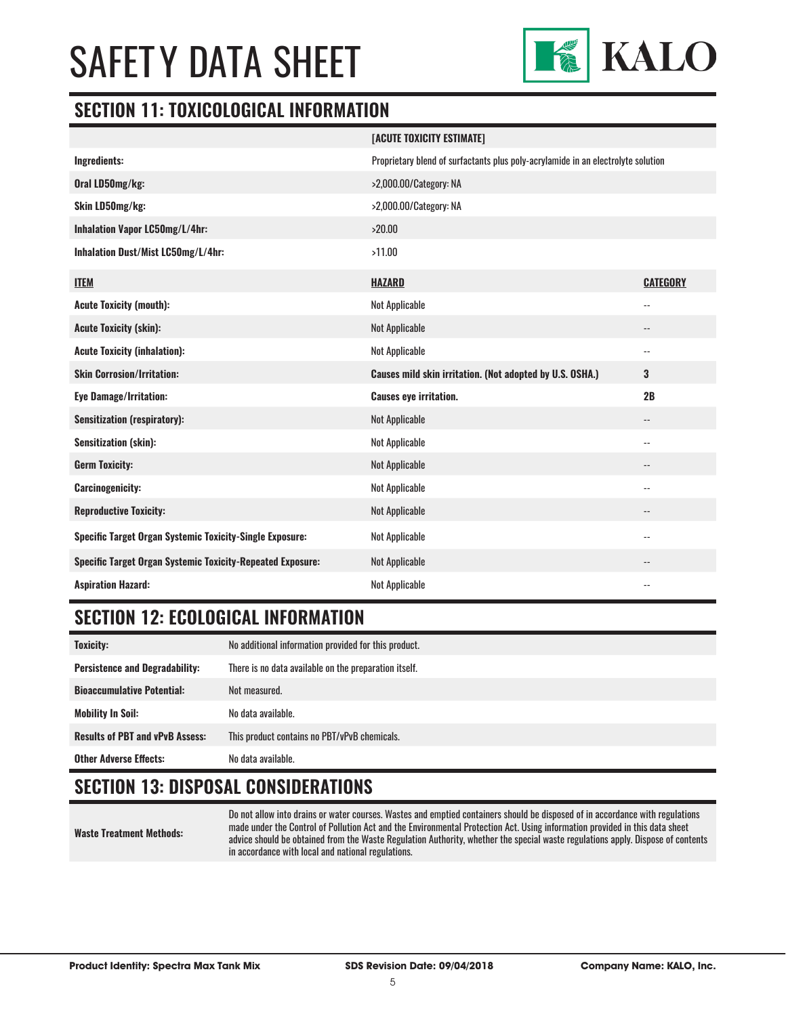

#### **SECTION 11: TOXICOLOGICAL INFORMATION**

|                                                                   | [ACUTE TOXICITY ESTIMATE]                                                        |                          |
|-------------------------------------------------------------------|----------------------------------------------------------------------------------|--------------------------|
| Ingredients:                                                      | Proprietary blend of surfactants plus poly-acrylamide in an electrolyte solution |                          |
| Oral LD50mg/kg:                                                   | >2,000.00/Category: NA                                                           |                          |
| Skin LD50mg/kg:                                                   | >2,000.00/Category: NA                                                           |                          |
| Inhalation Vapor LC50mg/L/4hr:                                    | >20.00                                                                           |                          |
| Inhalation Dust/Mist LC50mg/L/4hr:                                | >11.00                                                                           |                          |
| <b>ITEM</b>                                                       | <b>HAZARD</b>                                                                    | <b>CATEGORY</b>          |
| <b>Acute Toxicity (mouth):</b>                                    | <b>Not Applicable</b>                                                            | $-$                      |
| <b>Acute Toxicity (skin):</b>                                     | <b>Not Applicable</b>                                                            | $\overline{\phantom{a}}$ |
| <b>Acute Toxicity (inhalation):</b>                               | <b>Not Applicable</b>                                                            | $\overline{\phantom{a}}$ |
|                                                                   |                                                                                  |                          |
| <b>Skin Corrosion/Irritation:</b>                                 | Causes mild skin irritation. (Not adopted by U.S. OSHA.)                         | 3                        |
| <b>Eye Damage/Irritation:</b>                                     | <b>Causes eye irritation.</b>                                                    | 2B                       |
| <b>Sensitization (respiratory):</b>                               | <b>Not Applicable</b>                                                            | $\overline{\phantom{a}}$ |
| Sensitization (skin):                                             | <b>Not Applicable</b>                                                            | $\overline{\phantom{a}}$ |
| <b>Germ Toxicity:</b>                                             | <b>Not Applicable</b>                                                            | $\overline{\phantom{a}}$ |
| <b>Carcinogenicity:</b>                                           | Not Applicable                                                                   | $-$                      |
| <b>Reproductive Toxicity:</b>                                     | <b>Not Applicable</b>                                                            | $\qquad \qquad -$        |
| <b>Specific Target Organ Systemic Toxicity-Single Exposure:</b>   | Not Applicable                                                                   | $-$                      |
| <b>Specific Target Organ Systemic Toxicity-Repeated Exposure:</b> | Not Applicable                                                                   | $\overline{\phantom{a}}$ |

# **SECTION 12: ECOLOGICAL INFORMATION**

| <b>Toxicity:</b>                       | No additional information provided for this product.  |
|----------------------------------------|-------------------------------------------------------|
| <b>Persistence and Degradability:</b>  | There is no data available on the preparation itself. |
| <b>Bioaccumulative Potential:</b>      | Not measured.                                         |
| <b>Mobility In Soil:</b>               | No data available.                                    |
| <b>Results of PBT and vPvB Assess:</b> | This product contains no PBT/vPvB chemicals.          |
| <b>Other Adverse Effects:</b>          | No data available.                                    |

# **SECTION 13: DISPOSAL CONSIDERATIONS**

**Waste Treatment Methods:** Do not allow into drains or water courses. Wastes and emptied containers should be disposed of in accordance with regulations made under the Control of Pollution Act and the Environmental Protection Act. Using information provided in this data sheet advice should be obtained from the Waste Regulation Authority, whether the special waste regulations apply. Dispose of contents in accordance with local and national regulations.